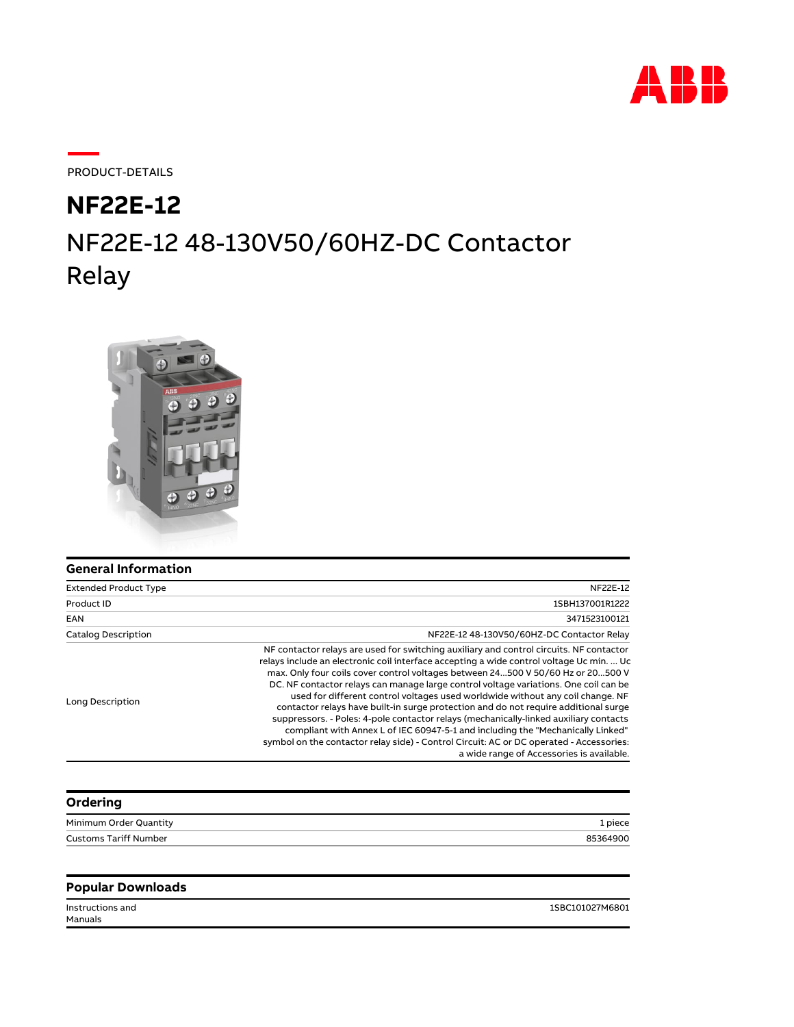

PRODUCT-DETAILS

## NF22E-12 48-130V50/60HZ-DC Contactor Relay **NF22E-12**



## **General Information**

| <b>Extended Product Type</b> | NF22E-12                                                                                                                                                                                                                                                                                                                                                                                                                                                                                                                                                                                                                                                                                                                                                                                                                                                    |
|------------------------------|-------------------------------------------------------------------------------------------------------------------------------------------------------------------------------------------------------------------------------------------------------------------------------------------------------------------------------------------------------------------------------------------------------------------------------------------------------------------------------------------------------------------------------------------------------------------------------------------------------------------------------------------------------------------------------------------------------------------------------------------------------------------------------------------------------------------------------------------------------------|
| Product ID                   | 1SBH137001R1222                                                                                                                                                                                                                                                                                                                                                                                                                                                                                                                                                                                                                                                                                                                                                                                                                                             |
| EAN                          | 3471523100121                                                                                                                                                                                                                                                                                                                                                                                                                                                                                                                                                                                                                                                                                                                                                                                                                                               |
| <b>Catalog Description</b>   | NF22E-12 48-130V50/60HZ-DC Contactor Relay                                                                                                                                                                                                                                                                                                                                                                                                                                                                                                                                                                                                                                                                                                                                                                                                                  |
| Long Description             | NF contactor relays are used for switching auxiliary and control circuits. NF contactor<br>relays include an electronic coil interface accepting a wide control voltage Uc min.  Uc<br>max. Only four coils cover control voltages between 24500 V 50/60 Hz or 20500 V<br>DC. NF contactor relays can manage large control voltage variations. One coil can be<br>used for different control voltages used worldwide without any coil change. NF<br>contactor relays have built-in surge protection and do not require additional surge<br>suppressors. - Poles: 4-pole contactor relays (mechanically-linked auxiliary contacts<br>compliant with Annex L of IEC 60947-5-1 and including the "Mechanically Linked"<br>symbol on the contactor relay side) - Control Circuit: AC or DC operated - Accessories:<br>a wide range of Accessories is available. |

| Ordering                     |          |
|------------------------------|----------|
| Minimum Order Quantity       | 1 piece  |
| <b>Customs Tariff Number</b> | 85364900 |
|                              |          |
| <b>Popular Downloads</b>     |          |

Instructions and 1SBC101027M6801

Manuals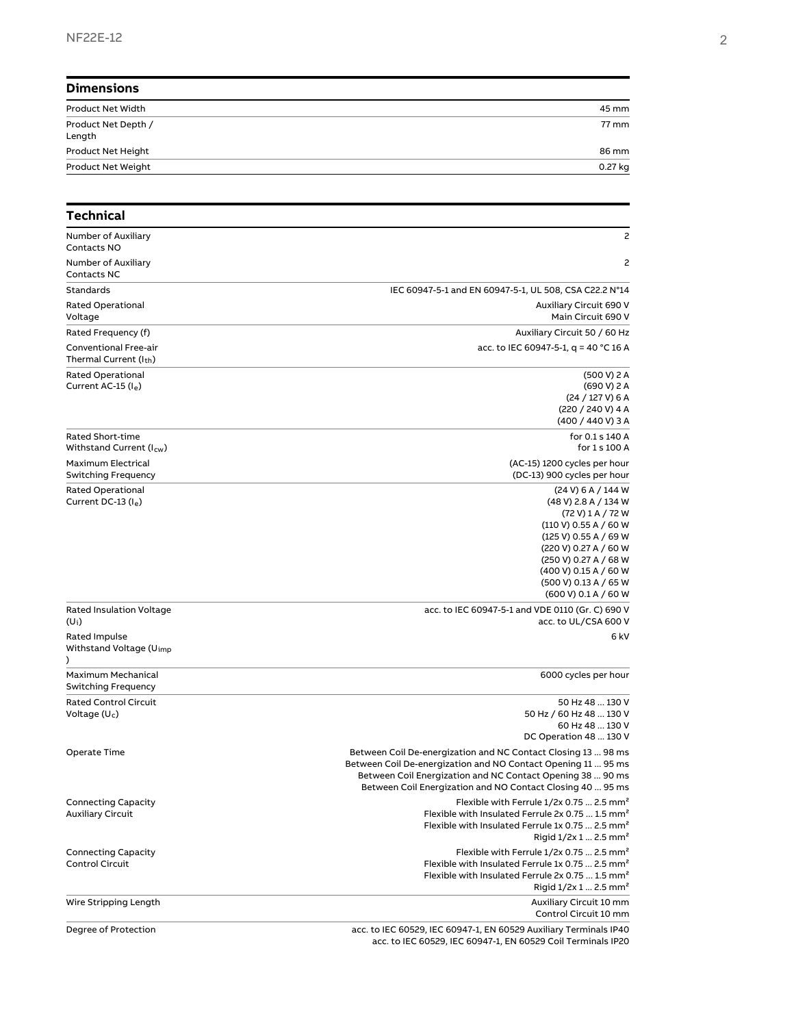| <b>Dimensions</b>             |         |
|-------------------------------|---------|
| Product Net Width             | 45 mm   |
| Product Net Depth /<br>Length | 77 mm   |
| Product Net Height            | 86 mm   |
| Product Net Weight            | 0.27 kg |

| Technical                                                          |                                                                                                                                                                                                                                                            |
|--------------------------------------------------------------------|------------------------------------------------------------------------------------------------------------------------------------------------------------------------------------------------------------------------------------------------------------|
| Number of Auxiliary<br><b>Contacts NO</b>                          | 2                                                                                                                                                                                                                                                          |
| Number of Auxiliary<br>Contacts NC                                 | 2                                                                                                                                                                                                                                                          |
| Standards                                                          | IEC 60947-5-1 and EN 60947-5-1, UL 508, CSA C22.2 N°14                                                                                                                                                                                                     |
| <b>Rated Operational</b><br>Voltage                                | <b>Auxiliary Circuit 690 V</b><br>Main Circuit 690 V                                                                                                                                                                                                       |
| Rated Frequency (f)                                                | Auxiliary Circuit 50 / 60 Hz                                                                                                                                                                                                                               |
| <b>Conventional Free-air</b><br>Thermal Current (I <sub>th</sub> ) | acc. to IEC 60947-5-1, $q = 40$ °C 16 A                                                                                                                                                                                                                    |
| Rated Operational<br>Current AC-15 $(I_e)$                         | (500 V) 2 A<br>(690 V) 2 A<br>(24 / 127 V) 6 A<br>(220 / 240 V) 4 A<br>(400 / 440 V) 3 A                                                                                                                                                                   |
| Rated Short-time<br>Withstand Current (I <sub>cw</sub> )           | for 0.1 s 140 A<br>for 1 s 100 A                                                                                                                                                                                                                           |
| Maximum Electrical<br>Switching Frequency                          | (AC-15) 1200 cycles per hour<br>(DC-13) 900 cycles per hour                                                                                                                                                                                                |
| <b>Rated Operational</b><br>Current DC-13 $(I_e)$                  | (24 V) 6 A / 144 W<br>(48 V) 2.8 A / 134 W<br>(72 V) 1 A / 72 W<br>(110 V) 0.55 A / 60 W<br>(125 V) 0.55 A / 69 W<br>(220 V) 0.27 A / 60 W<br>(250 V) 0.27 A / 68 W<br>(400 V) 0.15 A / 60 W<br>(500 V) 0.13 A / 65 W<br>(600 V) 0.1 A / 60 W              |
| <b>Rated Insulation Voltage</b><br>$(U_i)$                         | acc. to IEC 60947-5-1 and VDE 0110 (Gr. C) 690 V<br>acc. to UL/CSA 600 V                                                                                                                                                                                   |
| Rated Impulse<br>Withstand Voltage (U <sub>imp</sub><br>)          | 6 kV                                                                                                                                                                                                                                                       |
| Maximum Mechanical<br><b>Switching Frequency</b>                   | 6000 cycles per hour                                                                                                                                                                                                                                       |
| <b>Rated Control Circuit</b><br>Voltage $(U_c)$                    | 50 Hz 48  130 V<br>50 Hz / 60 Hz 48  130 V<br>60 Hz 48  130 V<br>DC Operation 48  130 V                                                                                                                                                                    |
| Operate Time                                                       | Between Coil De-energization and NC Contact Closing 13  98 ms<br>Between Coil De-energization and NO Contact Opening 11  95 ms<br>Between Coil Energization and NC Contact Opening 38  90 ms<br>Between Coil Energization and NO Contact Closing 40  95 ms |
| <b>Connecting Capacity</b><br><b>Auxiliary Circuit</b>             | Flexible with Ferrule 1/2x 0.75  2.5 mm <sup>2</sup><br>Flexible with Insulated Ferrule 2x 0.75  1.5 mm <sup>2</sup><br>Flexible with Insulated Ferrule 1x 0.75  2.5 mm <sup>2</sup><br>Rigid $1/2x$ 1  2.5 mm <sup>2</sup>                                |
| <b>Connecting Capacity</b><br><b>Control Circuit</b>               | Flexible with Ferrule 1/2x 0.75  2.5 mm <sup>2</sup><br>Flexible with Insulated Ferrule 1x 0.75  2.5 mm <sup>2</sup><br>Flexible with Insulated Ferrule 2x 0.75  1.5 mm <sup>2</sup><br>Rigid $1/2x$ 1  2.5 mm <sup>2</sup>                                |
| Wire Stripping Length                                              | Auxiliary Circuit 10 mm<br>Control Circuit 10 mm                                                                                                                                                                                                           |
| Degree of Protection                                               | acc. to IEC 60529, IEC 60947-1, EN 60529 Auxiliary Terminals IP40<br>acc. to IEC 60529, IEC 60947-1, EN 60529 Coil Terminals IP20                                                                                                                          |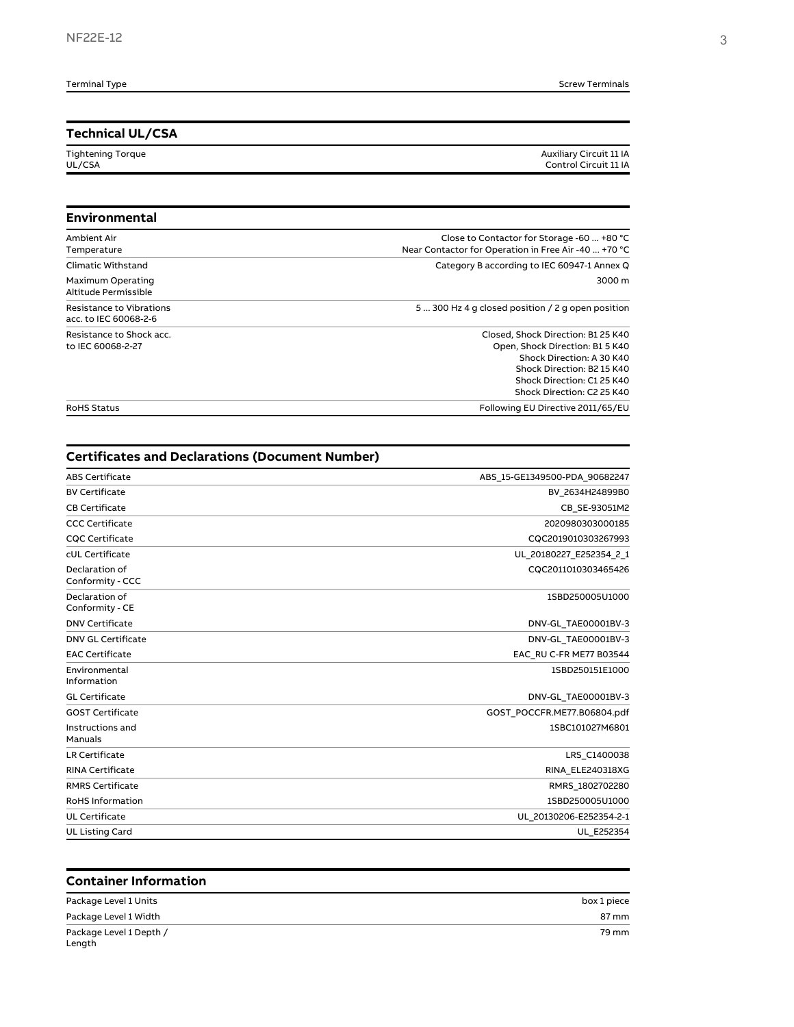## **Technical UL/CSA**

Tightening Torque UL/CSA

Auxiliary Circuit 11 IA
Control Circuit 11 IA

| Environmental                                     |                                                                                                                                                                                              |
|---------------------------------------------------|----------------------------------------------------------------------------------------------------------------------------------------------------------------------------------------------|
| Ambient Air<br>Temperature                        | Close to Contactor for Storage -60  +80 °C<br>Near Contactor for Operation in Free Air -40  +70 °C                                                                                           |
| Climatic Withstand                                | Category B according to IEC 60947-1 Annex Q                                                                                                                                                  |
| Maximum Operating<br>Altitude Permissible         | 3000 m                                                                                                                                                                                       |
| Resistance to Vibrations<br>acc. to IEC 60068-2-6 | 5  300 Hz 4 g closed position / 2 g open position                                                                                                                                            |
| Resistance to Shock acc.<br>to IEC 60068-2-27     | Closed, Shock Direction: B1 25 K40<br>Open, Shock Direction: B1 5 K40<br>Shock Direction: A 30 K40<br>Shock Direction: B2 15 K40<br>Shock Direction: C1 25 K40<br>Shock Direction: C2 25 K40 |

RoHS Status **Following EU Directive 2011/65/EU** 

| <b>Certificates and Declarations (Document Number)</b> |                               |
|--------------------------------------------------------|-------------------------------|
| <b>ABS Certificate</b>                                 | ABS 15-GE1349500-PDA 90682247 |
| <b>BV Certificate</b>                                  | BV 2634H24899B0               |
| <b>CB Certificate</b>                                  | CB SE-93051M2                 |
| <b>CCC Certificate</b>                                 | 2020980303000185              |
| <b>CQC Certificate</b>                                 | CQC2019010303267993           |
| cUL Certificate                                        | UL 20180227 E252354 2 1       |
| Declaration of<br>Conformity - CCC                     | CQC2011010303465426           |
| Declaration of<br>Conformity - CE                      | 1SBD250005U1000               |
| <b>DNV Certificate</b>                                 | DNV-GL TAE00001BV-3           |
| <b>DNV GL Certificate</b>                              | DNV-GL TAE00001BV-3           |
| <b>EAC Certificate</b>                                 | EAC RU C-FR ME77 B03544       |
| Environmental<br>Information                           | 1SBD250151E1000               |
| <b>GL Certificate</b>                                  | DNV-GL TAE00001BV-3           |
| <b>GOST Certificate</b>                                | GOST POCCFR.ME77.B06804.pdf   |
| Instructions and<br>Manuals                            | 1SBC101027M6801               |
| <b>LR Certificate</b>                                  | LRS C1400038                  |
| <b>RINA Certificate</b>                                | RINA ELE240318XG              |
| <b>RMRS Certificate</b>                                | RMRS 1802702280               |
| <b>RoHS Information</b>                                | 1SBD250005U1000               |
| UL Certificate                                         | UL 20130206-E252354-2-1       |
| <b>UL Listing Card</b>                                 | UL E252354                    |

| <b>Container Information</b>      |             |
|-----------------------------------|-------------|
| Package Level 1 Units             | box 1 piece |
| Package Level 1 Width             | 87 mm       |
| Package Level 1 Depth /<br>Length | 79 mm       |